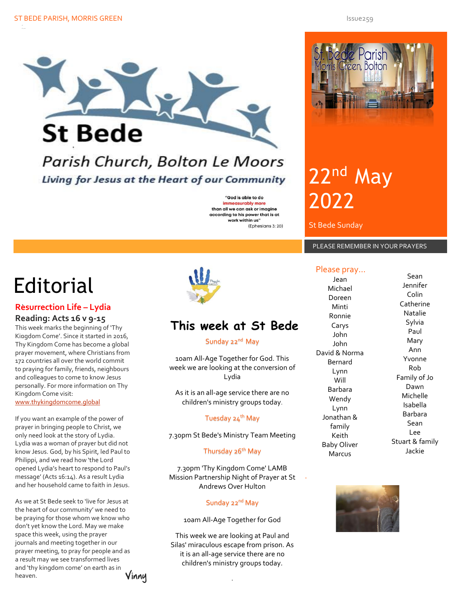

## Parish Church, Bolton Le Moors Living for Jesus at the Heart of our Community

"God is able to do immeasurably more than all we can ask or imagine according to his power that is at work within us" (Ephesians 3: 20)

# **Editorial**

### . **Resurrection Life – Lydia**

#### **Reading: Acts 16 v 9-15**

. Kingdom Come'. Since it started in 2016, This week marks the beginning of 'Thy Thy Kingdom Come has become a global prayer movement, where Christians from 172 countries all over the world commit to praying for family, friends, neighbours and colleagues to come to know Jesus personally. For more information on Thy Kingdom Come visit:

[www.thykingdomcome.global](http://www.thykingdomcome.global/)

If you want an example of the power of prayer in bringing people to Christ, we only need look at the story of Lydia. Lydia was a woman of prayer but did not know Jesus. God, by his Spirit, led Paul to Philippi, and we read how 'the Lord opened Lydia's heart to respond to Paul's message' (Acts 16:14). As a result Lydia and her household came to faith in Jesus.

As we at St Bede seek to 'live for Jesus at the heart of our community' we need to be praying for those whom we know who don't yet know the Lord. May we make space this week, using the prayer journals and meeting together in our prayer meeting, to pray for people and as a result may we see transformed lives and 'thy kingdom come' on earth as in heaven. Vinny .



## **This week at St Bede**

#### Sunday 22<sup>nd</sup> May

10am All-Age Together for God. This week we are looking at the conversion of Lydia

As it is an all-age service there are no children's ministry groups today.

#### Tuesday 24<sup>th</sup> May

7.30pm St Bede's Ministry Team Meeting

#### Thursday 26<sup>th</sup> May

7.30pm 'Thy Kingdom Come' LAMB Mission Partnership Night of Prayer at St Andrews Over Hulton

#### Sunday 22<sup>nd</sup> May

10am All-Age Together for God

This week we are looking at Paul and Silas' miraculous escape from prison. As it is an all-age service there are no children's ministry groups today.



# 22<sup>nd</sup> May 2022

St Bede Sunday

### PLEASE REMEMBER IN YOUR PRAYERS

#### Please pray…

Jean Michael Doreen Minti Ronnie Carys John John David & Norma Bernard Lynn Will Barbara Wendy Lynn Jonathan & family Keith Baby Oliver Marcus Sean Jennifer Colin Catherine Natalie Sylvia Paul Mary Ann Yvonne Rob Family of Jo Dawn Michelle Isabella Barbara Sean Lee Stuart & family Jackie



.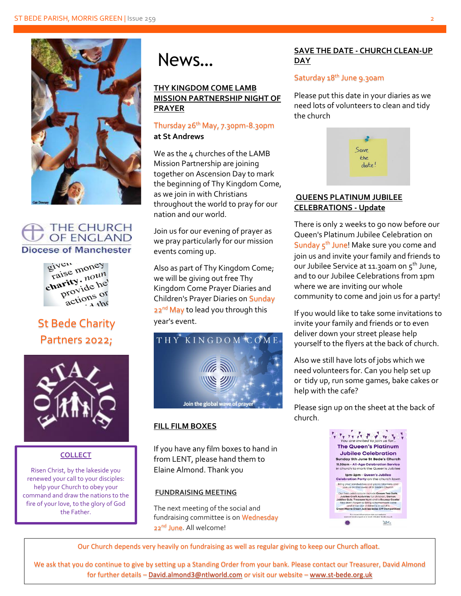

#### **THE CHURCH OF ENGLAND Diocese of Manchester**



## St Bede Charity Partners 2022;



### **COLLECT**

Risen Christ, by the lakeside you renewed your call to your disciples: help your Church to obey your command and draw the nations to the fire of your love, to the glory of God the Father.



#### **THY KINGDOM COME LAMB MISSION PARTNERSHIP NIGHT OF PRAYER**

#### Thursday 26<sup>th</sup> May, 7.30pm-8.30pm **at St Andrews**

We as the 4 churches of the LAMB Mission Partnership are joining together on Ascension Day to mark the beginning of Thy Kingdom Come, as we join in with Christians throughout the world to pray for our nation and our world.

Join us for our evening of prayer as we pray particularly for our mission events coming up.

Also as part of Thy Kingdom Come; we will be giving out free Thy Kingdom Come Prayer Diaries and Children's Prayer Diaries on Sunday 22<sup>nd</sup> May to lead you through this year's event.



### **FILL FILM BOXES**

If you have any film boxes to hand in from LENT, please hand them to Elaine Almond. Thank you

#### **FUNDRAISING MEETING**

The next meeting of the social and fundraising committee is on Wednesday 22<sup>nd</sup> June. All welcome!

#### News… **SAVE THE DATE - CHURCH CLEAN-UP DAY**

#### Saturday 18<sup>th</sup> June 9.30am

Please put this date in your diaries as we need lots of volunteers to clean and tidy the church



#### **QUEENS PLATINUM JUBILEE CELEBRATIONS - Update**

There is only 2 weeks to go now before our Queen's Platinum Jubilee Celebration on Sunday 5<sup>th</sup> June! Make sure you come and join us and invite your family and friends to our Jubilee Service at 11.30am on 5<sup>th</sup> June, and to our Jubilee Celebrations from 1pm where we are inviting our whole community to come and join us for a party!

If you would like to take some invitations to invite your family and friends or to even deliver down your street please help yourself to the flyers at the back of church.

Also we still have lots of jobs which we need volunteers for. Can you help set up or tidy up, run some games, bake cakes or help with the cafe?

Please sign up on the sheet at the back of church.

| <b>The Queen's Platinum</b>                                                                    |
|------------------------------------------------------------------------------------------------|
| <b>Jubilee Celebration</b>                                                                     |
| <b>Sunday 5th June St Bede's Church</b>                                                        |
| 11.30am - All-Age Celebration Service                                                          |
| in church to mark the Queen's Jubilee                                                          |
| 1pm-3pm - Queen's Jubilee                                                                      |
| Celebration Party on the church lawn                                                           |
| Bring your sandwiches and picnic blankets and<br>join us on the lawns of St Bede's Church      |
| Our free celebrations include Cream Tea Café.<br>Jubilee Craft Activities for children, Games. |
| Jubilee Quiz, Treasure Hunt and a Bouncy Castle!                                               |
| Also don't forget to bring a homemade cake                                                     |
| and enter our children's or adult's                                                            |
| <b>Great Morris Green Jubilee Bake-Off Competition!</b>                                        |
| For more information visit our website:<br>www.st-bede.org.uk.or e-mail: info@st-bede.org.uk   |
|                                                                                                |

Our Church depends very heavily on fundraising as well as regular giving to keep our Church afloat.

We ask that you do continue to give by setting up a Standing Order from your bank. Please contact our Treasurer, David Almond for further details – [David.almond3@ntlworld.com](mailto:David.almond3@ntlworld.com) or visit our website – [www.st-bede.org.uk](http://www.st-bede.org.uk/)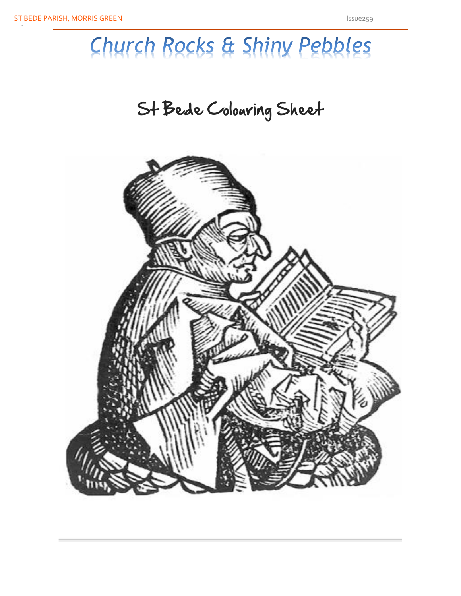# Church Rocks & Shiny Pebbles

# St Bede Colouring Sheet

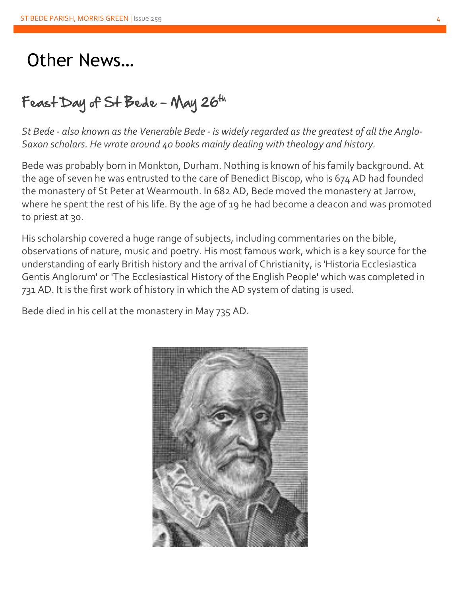# Other News…

## Feast Day of St Bede - May 26th

*St Bede - also known as the Venerable Bede - is widely regarded as the greatest of all the Anglo-Saxon scholars. He wrote around 40 books mainly dealing with theology and history.*

Bede was probably born in Monkton, Durham. Nothing is known of his family background. At the age of seven he was entrusted to the care of Benedict Biscop, who is 674 AD had founded the monastery of St Peter at Wearmouth. In 682 AD, Bede moved the monastery at Jarrow, where he spent the rest of his life. By the age of 19 he had become a deacon and was promoted to priest at 30.

His scholarship covered a huge range of subjects, including commentaries on the bible, observations of nature, music and poetry. His most famous work, which is a key source for the understanding of early British history and the arrival of Christianity, is 'Historia Ecclesiastica Gentis Anglorum' or 'The Ecclesiastical History of the English People' which was completed in 731 AD. It is the first work of history in which the AD system of dating is used.

Bede died in his cell at the monastery in May 735 AD.

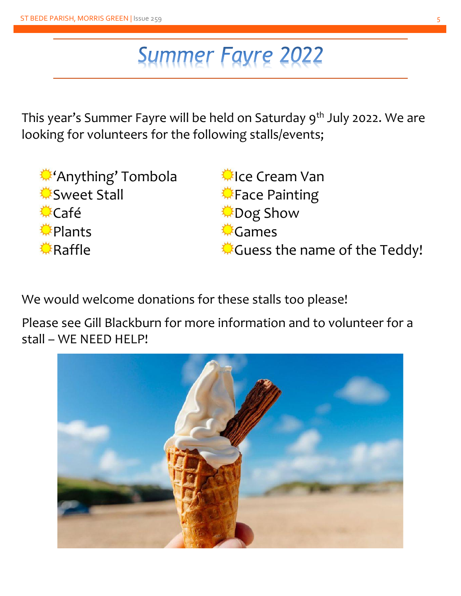# **Summer Fayre 2022**

This year's Summer Fayre will be held on Saturday 9<sup>th</sup> July 2022. We are looking for volunteers for the following stalls/events;

'Anything' Tombola <u>**©Sweet Stall</u>**</u> Café **◆Plants** Raffle

Ice Cream Van **Face Painting** Dog Show **©** Games Guess the name of the Teddy!

We would welcome donations for these stalls too please!

Please see Gill Blackburn for more information and to volunteer for a stall – WE NEED HELP!

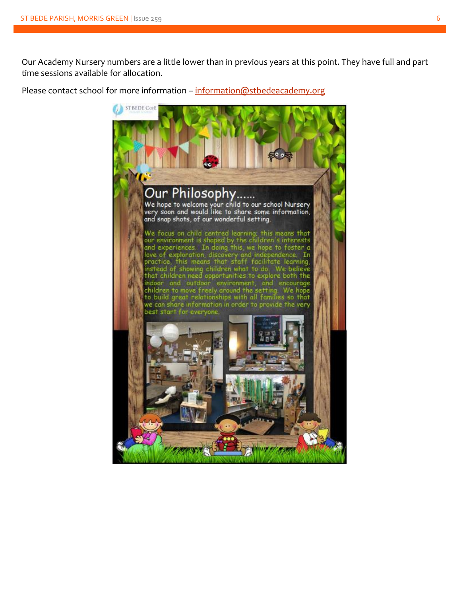Our Academy Nursery numbers are a little lower than in previous years at this point. They have full and part time sessions available for allocation.

Please contact school for more information – [information@stbedeacademy.org](mailto:information@stbedeacademy.org)